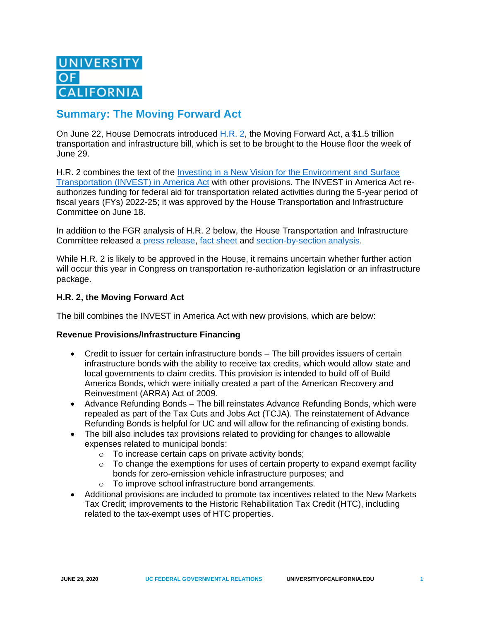# **Summary: The Moving Forward Act**

On June 22, House Democrats introduced [H.R. 2,](https://transportation.house.gov/imo/media/doc/BILLS-116HR2-RCP116-54.pdf) the Moving Forward Act, a \$1.5 trillion transportation and infrastructure bill, which is set to be brought to the House floor the week of June 29.

H.R. 2 combines the text of the [Investing in a New Vision for the Environment and Surface](https://www.ucop.edu/federal-governmental-relations/_files/analysis-documents/20200611-fgr-analysis-invest-in-america-act.pdf)  [Transportation \(INVEST\) in America Act](https://www.ucop.edu/federal-governmental-relations/_files/analysis-documents/20200611-fgr-analysis-invest-in-america-act.pdf) with other provisions. The INVEST in America Act reauthorizes funding for federal aid for transportation related activities during the 5-year period of fiscal years (FYs) 2022-25; it was approved by the House Transportation and Infrastructure Committee on June 18.

In addition to the FGR analysis of H.R. 2 below, the House Transportation and Infrastructure Committee released a press [release,](https://transportation.house.gov/news/press-releases/house-democrats-release-text-of-hr-2-a-transformational-infrastructure-bill-to-create-jobs-and-rebuild-america) fact [sheet](https://transportation.house.gov/imo/media/doc/Fact%20sheet%20HR%202%20Moving%20Forward%20Act%20FINAL.pdf) and [section-by-section](https://transportation.house.gov/imo/media/doc/Section%20by%20Section%20HR%202%20The%20Moving%20Forward%20Act%20FINAL.pdf) analysis.

While H.R. 2 is likely to be approved in the House, it remains uncertain whether further action will occur this year in Congress on transportation re-authorization legislation or an infrastructure package.

# **H.R. 2, the Moving Forward Act**

The bill combines the INVEST in America Act with new provisions, which are below:

## **Revenue Provisions/Infrastructure Financing**

- Credit to issuer for certain infrastructure bonds The bill provides issuers of certain infrastructure bonds with the ability to receive tax credits, which would allow state and local governments to claim credits. This provision is intended to build off of Build America Bonds, which were initially created a part of the American Recovery and Reinvestment (ARRA) Act of 2009.
- Advance Refunding Bonds The bill reinstates Advance Refunding Bonds, which were repealed as part of the Tax Cuts and Jobs Act (TCJA). The reinstatement of Advance Refunding Bonds is helpful for UC and will allow for the refinancing of existing bonds.
- The bill also includes tax provisions related to providing for changes to allowable expenses related to municipal bonds:
	- o To increase certain caps on private activity bonds;
	- $\circ$  To change the exemptions for uses of certain property to expand exempt facility bonds for zero-emission vehicle infrastructure purposes; and
	- o To improve school infrastructure bond arrangements.
- Additional provisions are included to promote tax incentives related to the New Markets Tax Credit; improvements to the Historic Rehabilitation Tax Credit (HTC), including related to the tax-exempt uses of HTC properties.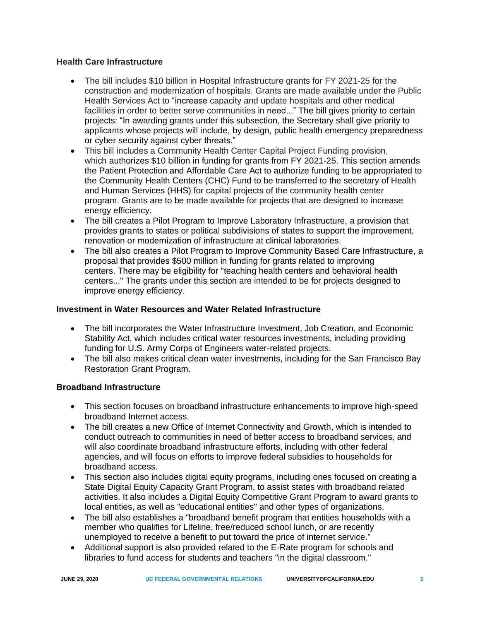# **Health Care Infrastructure**

- The bill includes \$10 billion in Hospital Infrastructure grants for FY 2021-25 for the construction and modernization of hospitals. Grants are made available under the Public Health Services Act to "increase capacity and update hospitals and other medical facilities in order to better serve communities in need..." The bill gives priority to certain projects: "In awarding grants under this subsection, the Secretary shall give priority to applicants whose projects will include, by design, public health emergency preparedness or cyber security against cyber threats."
- This bill includes a Community Health Center Capital Project Funding provision, which authorizes \$10 billion in funding for grants from FY 2021-25. This section amends the Patient Protection and Affordable Care Act to authorize funding to be appropriated to the Community Health Centers (CHC) Fund to be transferred to the secretary of Health and Human Services (HHS) for capital projects of the community health center program. Grants are to be made available for projects that are designed to increase energy efficiency.
- The bill creates a Pilot Program to Improve Laboratory Infrastructure, a provision that provides grants to states or political subdivisions of states to support the improvement, renovation or modernization of infrastructure at clinical laboratories.
- The bill also creates a Pilot Program to Improve Community Based Care Infrastructure, a proposal that provides \$500 million in funding for grants related to improving centers. There may be eligibility for "teaching health centers and behavioral health centers..." The grants under this section are intended to be for projects designed to improve energy efficiency.

# **Investment in Water Resources and Water Related Infrastructure**

- The bill incorporates the Water Infrastructure Investment, Job Creation, and Economic Stability Act, which includes critical water resources investments, including providing funding for U.S. Army Corps of Engineers water-related projects.
- The bill also makes critical clean water investments, including for the San Francisco Bay Restoration Grant Program.

## **Broadband Infrastructure**

- This section focuses on broadband infrastructure enhancements to improve high-speed broadband Internet access.
- The bill creates a new Office of Internet Connectivity and Growth, which is intended to conduct outreach to communities in need of better access to broadband services, and will also coordinate broadband infrastructure efforts, including with other federal agencies, and will focus on efforts to improve federal subsidies to households for broadband access.
- This section also includes digital equity programs, including ones focused on creating a State Digital Equity Capacity Grant Program, to assist states with broadband related activities. It also includes a Digital Equity Competitive Grant Program to award grants to local entities, as well as "educational entities" and other types of organizations.
- The bill also establishes a "broadband benefit program that entities households with a member who qualifies for Lifeline, free/reduced school lunch, or are recently unemployed to receive a benefit to put toward the price of internet service."
- Additional support is also provided related to the E-Rate program for schools and libraries to fund access for students and teachers "in the digital classroom."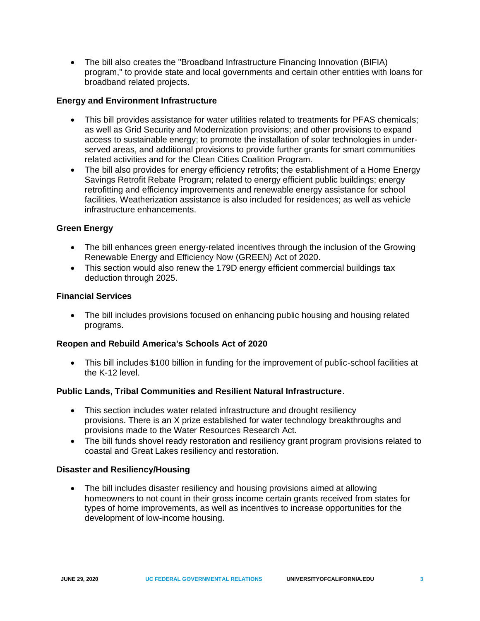• The bill also creates the "Broadband Infrastructure Financing Innovation (BIFIA) program," to provide state and local governments and certain other entities with loans for broadband related projects.

# **Energy and Environment Infrastructure**

- This bill provides assistance for water utilities related to treatments for PFAS chemicals; as well as Grid Security and Modernization provisions; and other provisions to expand access to sustainable energy; to promote the installation of solar technologies in underserved areas, and additional provisions to provide further grants for smart communities related activities and for the Clean Cities Coalition Program.
- The bill also provides for energy efficiency retrofits; the establishment of a Home Energy Savings Retrofit Rebate Program; related to energy efficient public buildings; energy retrofitting and efficiency improvements and renewable energy assistance for school facilities. Weatherization assistance is also included for residences; as well as vehicle infrastructure enhancements.

## **Green Energy**

- The bill enhances green energy-related incentives through the inclusion of the Growing Renewable Energy and Efficiency Now (GREEN) Act of 2020.
- This section would also renew the 179D energy efficient commercial buildings tax deduction through 2025.

## **Financial Services**

• The bill includes provisions focused on enhancing public housing and housing related programs.

## **Reopen and Rebuild America's Schools Act of 2020**

• This bill includes \$100 billion in funding for the improvement of public-school facilities at the K-12 level.

## **Public Lands, Tribal Communities and Resilient Natural Infrastructure**.

- This section includes water related infrastructure and drought resiliency provisions. There is an X prize established for water technology breakthroughs and provisions made to the Water Resources Research Act.
- The bill funds shovel ready restoration and resiliency grant program provisions related to coastal and Great Lakes resiliency and restoration.

## **Disaster and Resiliency/Housing**

• The bill includes disaster resiliency and housing provisions aimed at allowing homeowners to not count in their gross income certain grants received from states for types of home improvements, as well as incentives to increase opportunities for the development of low-income housing.